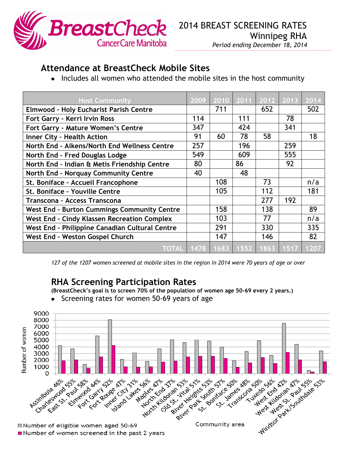

## **Attendance at BreastCheck Mobile Sites**

• Includes all women who attended the mobile sites in the host community

| <b>Host Community</b>                              | 2009 | 2010 |     | 2011 2012 | 2013 | 2014 |
|----------------------------------------------------|------|------|-----|-----------|------|------|
| <b>Elmwood - Holy Eucharist Parish Centre</b>      |      | 711  |     | 652       |      | 502  |
| Fort Garry - Kerri Irvin Ross                      | 114  |      | 111 |           | 78   |      |
| Fort Garry - Mature Women's Centre                 | 347  |      | 424 |           | 341  |      |
| <b>Inner City - Health Action</b>                  | 91   | 60   | 78  | 58        |      | 18   |
| North End - Aikens/North End Wellness Centre       | 257  |      | 196 |           | 259  |      |
| North End - Fred Douglas Lodge                     | 549  |      | 609 |           | 555  |      |
| North End - Indian & Metis Friendship Centre       | 80   |      | 86  |           | 92   |      |
| North End - Norquay Community Centre               | 40   |      | 48  |           |      |      |
| St. Boniface - Accueil Francophone                 |      | 108  |     | 73        |      | n/a  |
| St. Boniface - Youville Centre                     |      | 105  |     | 112       |      | 181  |
| Transcona - Access Transcona                       |      |      |     | 277       | 192  |      |
| <b>West End - Burton Cummings Community Centre</b> |      | 158  |     | 138       |      | 89   |
| <b>West End - Cindy Klassen Recreation Complex</b> |      | 103  |     | 77        |      | n/a  |
| West End - Philippine Canadian Cultural Centre     |      | 291  |     | 330       |      | 335  |
| West End - Weston Gospel Church                    |      | 147  |     | 146       |      | 82   |
| TOTAL 1478 1683 1552 1863 1517 1207                |      |      |     |           |      |      |

*127 of the 1207 women screened at mobile sites in the region in 2014 were 70 years of age or over*

## **RHA Screening Participation Rates**

**(BreastCheck's goal is to screen 70% of the population of women age 50-69 every 2 years.)**

Screening rates for women 50-69 years of age $\bullet$